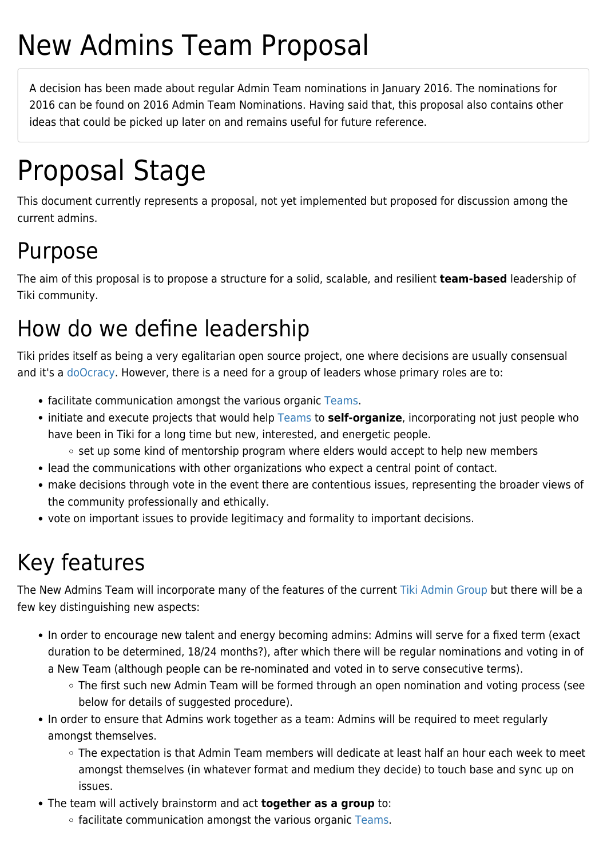# New Admins Team Proposal

A decision has been made about regular Admin Team nominations in January 2016. The nominations for 2016 can be found on [2016 Admin Team Nominations.](https://tiki.org/tiki-editpage.php?page=2016+Admin+Team+Nominations) Having said that, this proposal also contains other ideas that could be picked up later on and remains useful for future reference.

# Proposal Stage

This document currently represents a proposal, not yet implemented but proposed for discussion among the current admins.

#### Purpose

The aim of this proposal is to propose a structure for a solid, scalable, and resilient **team-based** leadership of Tiki community.

### How do we define leadership

Tiki prides itself as being a very egalitarian open source project, one where decisions are usually consensual and it's a [doOcracy.](http://www.communitywiki.org/en/DoOcracy) However, there is a need for a group of leaders whose primary roles are to:

- facilitate communication amongst the various organic [Teams](https://tiki.org/Teams).
- initiate and execute projects that would help [Teams](https://tiki.org/Teams) to **self-organize**, incorporating not just people who have been in Tiki for a long time but new, interested, and energetic people.
	- $\circ$  set up some kind of mentorship program where elders would accept to help new members
- lead the communications with other organizations who expect a central point of contact.
- make decisions through vote in the event there are contentious issues, representing the broader views of the community professionally and ethically.
- vote on important issues to provide legitimacy and formality to important decisions.

## Key features

The New Admins Team will incorporate many of the features of the current [Tiki Admin Group](https://tiki.org/Tiki-Admin-Group) but there will be a few key distinguishing new aspects:

- In order to encourage new talent and energy becoming admins: Admins will serve for a fixed term (exact duration to be determined, 18/24 months?), after which there will be regular nominations and voting in of a New Team (although people can be re-nominated and voted in to serve consecutive terms).
	- The first such new Admin Team will be formed through an open nomination and voting process (see below for details of suggested procedure).
- In order to ensure that Admins work together as a team: Admins will be required to meet regularly amongst themselves.
	- The expectation is that Admin Team members will dedicate at least half an hour each week to meet amongst themselves (in whatever format and medium they decide) to touch base and sync up on issues.
- The team will actively brainstorm and act **together as a group** to:
	- $\circ$  facilitate communication amongst the various organic [Teams](https://tiki.org/Teams).